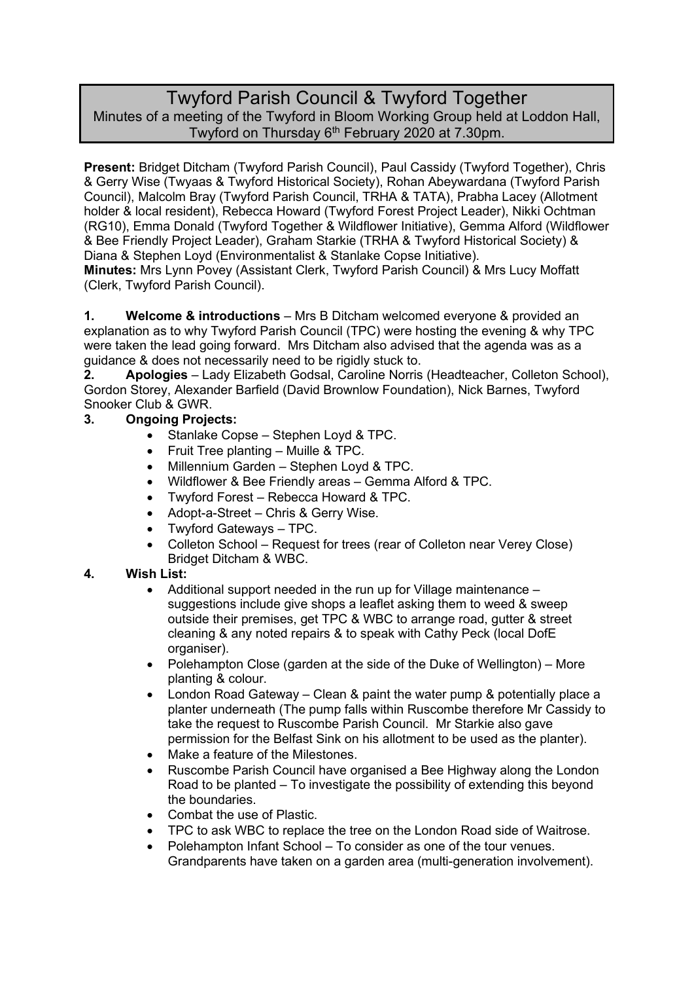# Twyford Parish Council & Twyford Together Minutes of a meeting of the Twyford in Bloom Working Group held at Loddon Hall, Twyford on Thursday 6<sup>th</sup> February 2020 at 7.30pm.

**Present:** Bridget Ditcham (Twyford Parish Council), Paul Cassidy (Twyford Together), Chris & Gerry Wise (Twyaas & Twyford Historical Society), Rohan Abeywardana (Twyford Parish Council), Malcolm Bray (Twyford Parish Council, TRHA & TATA), Prabha Lacey (Allotment holder & local resident), Rebecca Howard (Twyford Forest Project Leader), Nikki Ochtman (RG10), Emma Donald (Twyford Together & Wildflower Initiative), Gemma Alford (Wildflower & Bee Friendly Project Leader), Graham Starkie (TRHA & Twyford Historical Society) & Diana & Stephen Loyd (Environmentalist & Stanlake Copse Initiative).

**Minutes:** Mrs Lynn Povey (Assistant Clerk, Twyford Parish Council) & Mrs Lucy Moffatt (Clerk, Twyford Parish Council).

**1. Welcome & introductions** – Mrs B Ditcham welcomed everyone & provided an explanation as to why Twyford Parish Council (TPC) were hosting the evening & why TPC were taken the lead going forward. Mrs Ditcham also advised that the agenda was as a guidance & does not necessarily need to be rigidly stuck to.

**2. Apologies** – Lady Elizabeth Godsal, Caroline Norris (Headteacher, Colleton School), Gordon Storey, Alexander Barfield (David Brownlow Foundation), Nick Barnes, Twyford Snooker Club & GWR.

## **3. Ongoing Projects:**

- Stanlake Copse Stephen Loyd & TPC.
- Fruit Tree planting Muille & TPC.
- Millennium Garden Stephen Loyd & TPC.
- Wildflower & Bee Friendly areas Gemma Alford & TPC.
- Twyford Forest Rebecca Howard & TPC.
- Adopt-a-Street Chris & Gerry Wise.
- Twyford Gateways TPC.
- Colleton School Request for trees (rear of Colleton near Verey Close) Bridget Ditcham & WBC.

### **4. Wish List:**

- Additional support needed in the run up for Village maintenance suggestions include give shops a leaflet asking them to weed & sweep outside their premises, get TPC & WBC to arrange road, gutter & street cleaning & any noted repairs & to speak with Cathy Peck (local DofE organiser).
- Polehampton Close (garden at the side of the Duke of Wellington) More planting & colour.
- London Road Gateway Clean & paint the water pump & potentially place a planter underneath (The pump falls within Ruscombe therefore Mr Cassidy to take the request to Ruscombe Parish Council. Mr Starkie also gave permission for the Belfast Sink on his allotment to be used as the planter).
- Make a feature of the Milestones.
- Ruscombe Parish Council have organised a Bee Highway along the London Road to be planted – To investigate the possibility of extending this beyond the boundaries.
- Combat the use of Plastic.
- TPC to ask WBC to replace the tree on the London Road side of Waitrose.
- Polehampton Infant School To consider as one of the tour venues. Grandparents have taken on a garden area (multi-generation involvement).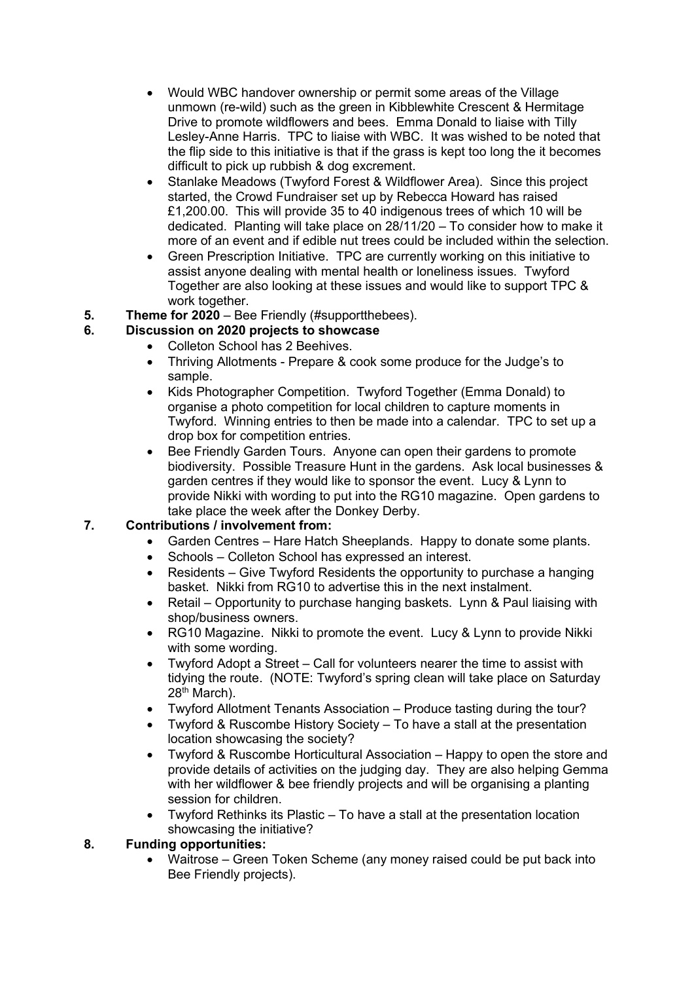- Would WBC handover ownership or permit some areas of the Village unmown (re-wild) such as the green in Kibblewhite Crescent & Hermitage Drive to promote wildflowers and bees. Emma Donald to liaise with Tilly Lesley-Anne Harris. TPC to liaise with WBC. It was wished to be noted that the flip side to this initiative is that if the grass is kept too long the it becomes difficult to pick up rubbish & dog excrement.
- Stanlake Meadows (Twyford Forest & Wildflower Area). Since this project started, the Crowd Fundraiser set up by Rebecca Howard has raised £1,200.00. This will provide 35 to 40 indigenous trees of which 10 will be dedicated. Planting will take place on 28/11/20 – To consider how to make it more of an event and if edible nut trees could be included within the selection.
- Green Prescription Initiative. TPC are currently working on this initiative to assist anyone dealing with mental health or loneliness issues. Twyford Together are also looking at these issues and would like to support TPC & work together.
- **5. Theme for 2020** Bee Friendly (#supportthebees).

## **6. Discussion on 2020 projects to showcase**

- Colleton School has 2 Beehives.
- Thriving Allotments Prepare & cook some produce for the Judge's to sample.
- Kids Photographer Competition. Twyford Together (Emma Donald) to organise a photo competition for local children to capture moments in Twyford. Winning entries to then be made into a calendar. TPC to set up a drop box for competition entries.
- Bee Friendly Garden Tours. Anyone can open their gardens to promote biodiversity. Possible Treasure Hunt in the gardens. Ask local businesses & garden centres if they would like to sponsor the event. Lucy & Lynn to provide Nikki with wording to put into the RG10 magazine. Open gardens to take place the week after the Donkey Derby.

### **7. Contributions / involvement from:**

- Garden Centres Hare Hatch Sheeplands. Happy to donate some plants.
- Schools Colleton School has expressed an interest.
- Residents Give Twyford Residents the opportunity to purchase a hanging basket. Nikki from RG10 to advertise this in the next instalment.
- Retail Opportunity to purchase hanging baskets. Lynn & Paul liaising with shop/business owners.
- RG10 Magazine. Nikki to promote the event. Lucy & Lynn to provide Nikki with some wording.
- Twyford Adopt a Street Call for volunteers nearer the time to assist with tidying the route. (NOTE: Twyford's spring clean will take place on Saturday 28th March).
- Twyford Allotment Tenants Association Produce tasting during the tour?
- Twyford & Ruscombe History Society To have a stall at the presentation location showcasing the society?
- Twyford & Ruscombe Horticultural Association Happy to open the store and provide details of activities on the judging day. They are also helping Gemma with her wildflower & bee friendly projects and will be organising a planting session for children.
- Twyford Rethinks its Plastic To have a stall at the presentation location showcasing the initiative?

### **8. Funding opportunities:**

• Waitrose – Green Token Scheme (any money raised could be put back into Bee Friendly projects).